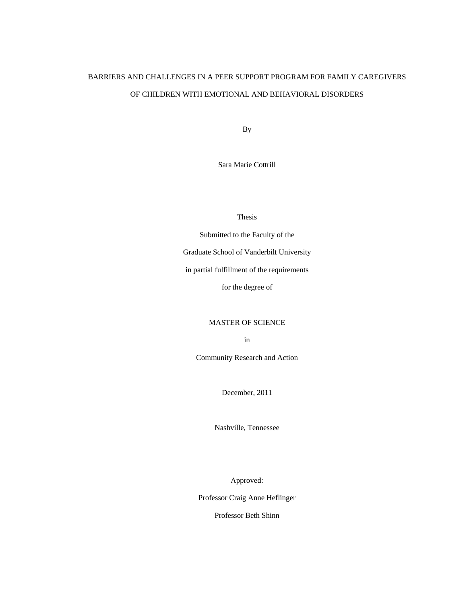# BARRIERS AND CHALLENGES IN A PEER SUPPORT PROGRAM FOR FAMILY CAREGIVERS OF CHILDREN WITH EMOTIONAL AND BEHAVIORAL DISORDERS

By

Sara Marie Cottrill

Thesis

Submitted to the Faculty of the Graduate School of Vanderbilt University in partial fulfillment of the requirements

for the degree of

MASTER OF SCIENCE

in

Community Research and Action

December, 2011

Nashville, Tennessee

Approved:

Professor Craig Anne Heflinger

Professor Beth Shinn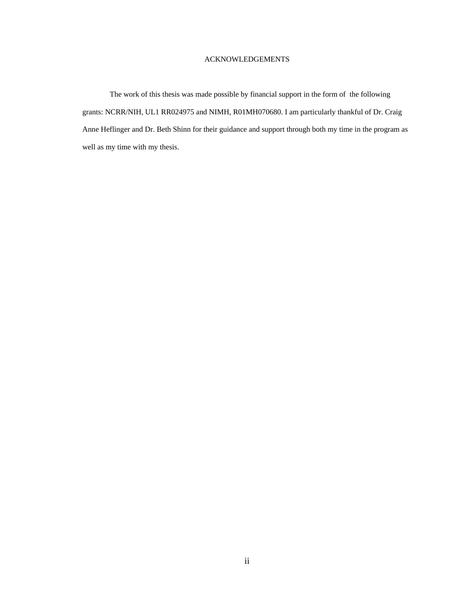### ACKNOWLEDGEMENTS

The work of this thesis was made possible by financial support in the form of the following grants: NCRR/NIH, UL1 RR024975 and NIMH, R01MH070680. I am particularly thankful of Dr. Craig Anne Heflinger and Dr. Beth Shinn for their guidance and support through both my time in the program as well as my time with my thesis.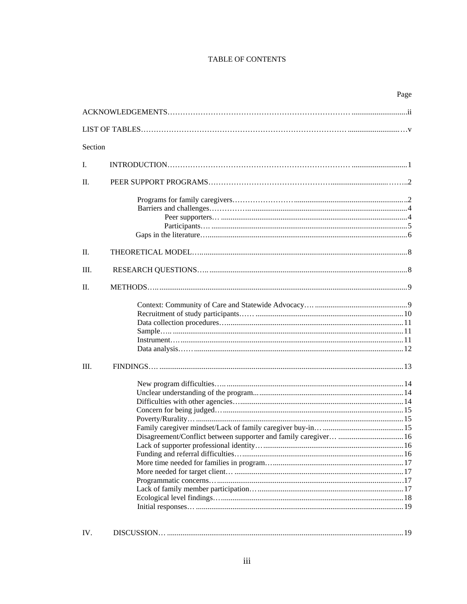# TABLE OF CONTENTS

|         | Page |
|---------|------|
|         |      |
|         |      |
| Section |      |
|         |      |
| L.      |      |
| $\Pi$ . |      |
|         |      |
|         |      |
|         |      |
|         |      |
|         |      |
| П.      |      |
| III.    |      |
| $\Pi$ . |      |
|         |      |
|         |      |
|         |      |
|         |      |
|         |      |
|         |      |
|         |      |
| III.    |      |
|         |      |
|         |      |
|         |      |
|         |      |
|         |      |
|         |      |
|         |      |
|         |      |
|         |      |
|         |      |
|         |      |
|         |      |
|         |      |
|         |      |
|         |      |
|         |      |
| IV.     |      |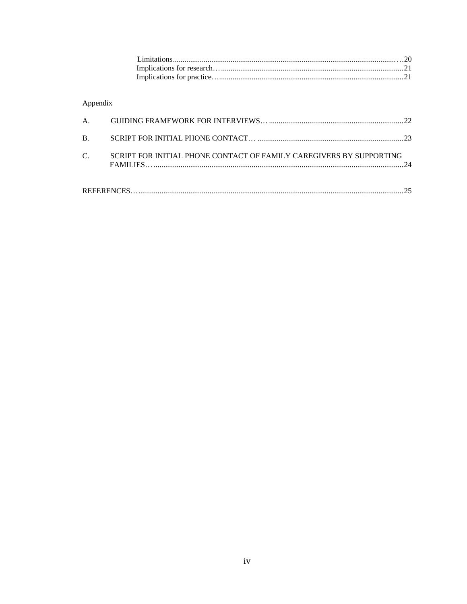Appendix

| C. | SCRIPT FOR INITIAL PHONE CONTACT OF FAMILY CAREGIVERS BY SUPPORTING |  |
|----|---------------------------------------------------------------------|--|
|    |                                                                     |  |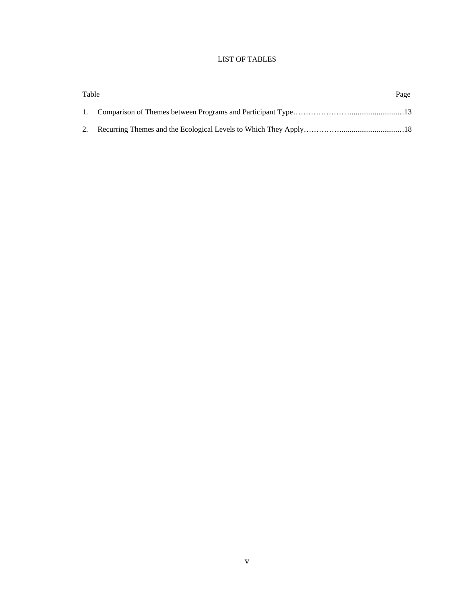# LIST OF TABLES

| Table | Page |
|-------|------|
|       |      |
|       |      |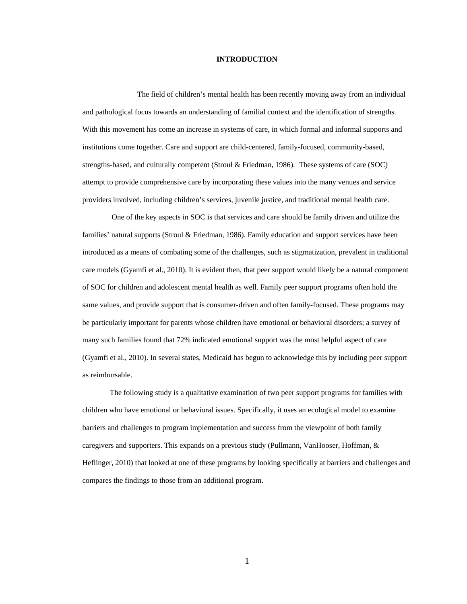### **INTRODUCTION**

 The field of children's mental health has been recently moving away from an individual and pathological focus towards an understanding of familial context and the identification of strengths. With this movement has come an increase in systems of care, in which formal and informal supports and institutions come together. Care and support are child-centered, family-focused, community-based, strengths-based, and culturally competent (Stroul & Friedman, 1986). These systems of care (SOC) attempt to provide comprehensive care by incorporating these values into the many venues and service providers involved, including children's services, juvenile justice, and traditional mental health care.

 One of the key aspects in SOC is that services and care should be family driven and utilize the families' natural supports (Stroul & Friedman, 1986). Family education and support services have been introduced as a means of combating some of the challenges, such as stigmatization, prevalent in traditional care models (Gyamfi et al., 2010). It is evident then, that peer support would likely be a natural component of SOC for children and adolescent mental health as well. Family peer support programs often hold the same values, and provide support that is consumer-driven and often family-focused. These programs may be particularly important for parents whose children have emotional or behavioral disorders; a survey of many such families found that 72% indicated emotional support was the most helpful aspect of care (Gyamfi et al., 2010). In several states, Medicaid has begun to acknowledge this by including peer support as reimbursable.

The following study is a qualitative examination of two peer support programs for families with children who have emotional or behavioral issues. Specifically, it uses an ecological model to examine barriers and challenges to program implementation and success from the viewpoint of both family caregivers and supporters. This expands on a previous study (Pullmann, VanHooser, Hoffman, & Heflinger, 2010) that looked at one of these programs by looking specifically at barriers and challenges and compares the findings to those from an additional program.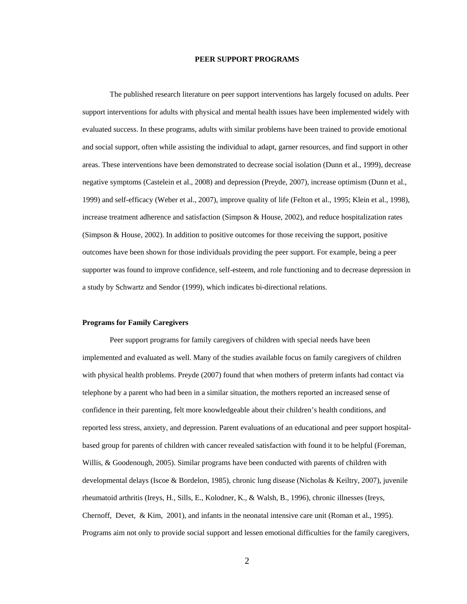### **PEER SUPPORT PROGRAMS**

The published research literature on peer support interventions has largely focused on adults. Peer support interventions for adults with physical and mental health issues have been implemented widely with evaluated success. In these programs, adults with similar problems have been trained to provide emotional and social support, often while assisting the individual to adapt, garner resources, and find support in other areas. These interventions have been demonstrated to decrease social isolation (Dunn et al., 1999), decrease negative symptoms (Castelein et al., 2008) and depression (Preyde, 2007), increase optimism (Dunn et al., 1999) and self-efficacy (Weber et al., 2007), improve quality of life (Felton et al., 1995; Klein et al., 1998), increase treatment adherence and satisfaction (Simpson & House, 2002), and reduce hospitalization rates (Simpson & House, 2002). In addition to positive outcomes for those receiving the support, positive outcomes have been shown for those individuals providing the peer support. For example, being a peer supporter was found to improve confidence, self-esteem, and role functioning and to decrease depression in a study by Schwartz and Sendor (1999), which indicates bi-directional relations.

### **Programs for Family Caregivers**

Peer support programs for family caregivers of children with special needs have been implemented and evaluated as well. Many of the studies available focus on family caregivers of children with physical health problems. Preyde (2007) found that when mothers of preterm infants had contact via telephone by a parent who had been in a similar situation, the mothers reported an increased sense of confidence in their parenting, felt more knowledgeable about their children's health conditions, and reported less stress, anxiety, and depression. Parent evaluations of an educational and peer support hospitalbased group for parents of children with cancer revealed satisfaction with found it to be helpful (Foreman, Willis, & Goodenough, 2005). Similar programs have been conducted with parents of children with developmental delays (Iscoe & Bordelon, 1985), chronic lung disease (Nicholas & Keiltry, 2007), juvenile rheumatoid arthritis (Ireys, H., Sills, E., Kolodner, K., & Walsh, B., 1996), chronic illnesses (Ireys, Chernoff, Devet, & Kim, 2001), and infants in the neonatal intensive care unit (Roman et al., 1995). Programs aim not only to provide social support and lessen emotional difficulties for the family caregivers,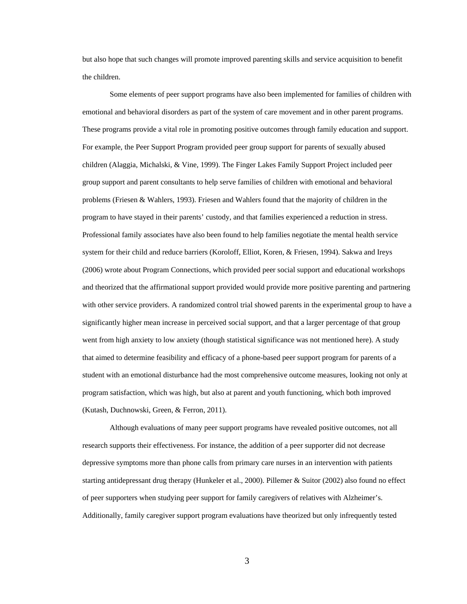but also hope that such changes will promote improved parenting skills and service acquisition to benefit the children.

Some elements of peer support programs have also been implemented for families of children with emotional and behavioral disorders as part of the system of care movement and in other parent programs. These programs provide a vital role in promoting positive outcomes through family education and support. For example, the Peer Support Program provided peer group support for parents of sexually abused children (Alaggia, Michalski, & Vine, 1999). The Finger Lakes Family Support Project included peer group support and parent consultants to help serve families of children with emotional and behavioral problems (Friesen & Wahlers, 1993). Friesen and Wahlers found that the majority of children in the program to have stayed in their parents' custody, and that families experienced a reduction in stress. Professional family associates have also been found to help families negotiate the mental health service system for their child and reduce barriers (Koroloff, Elliot, Koren, & Friesen, 1994). Sakwa and Ireys (2006) wrote about Program Connections, which provided peer social support and educational workshops and theorized that the affirmational support provided would provide more positive parenting and partnering with other service providers. A randomized control trial showed parents in the experimental group to have a significantly higher mean increase in perceived social support, and that a larger percentage of that group went from high anxiety to low anxiety (though statistical significance was not mentioned here). A study that aimed to determine feasibility and efficacy of a phone-based peer support program for parents of a student with an emotional disturbance had the most comprehensive outcome measures, looking not only at program satisfaction, which was high, but also at parent and youth functioning, which both improved (Kutash, Duchnowski, Green, & Ferron, 2011).

 Although evaluations of many peer support programs have revealed positive outcomes, not all research supports their effectiveness. For instance, the addition of a peer supporter did not decrease depressive symptoms more than phone calls from primary care nurses in an intervention with patients starting antidepressant drug therapy (Hunkeler et al., 2000). Pillemer & Suitor (2002) also found no effect of peer supporters when studying peer support for family caregivers of relatives with Alzheimer's. Additionally, family caregiver support program evaluations have theorized but only infrequently tested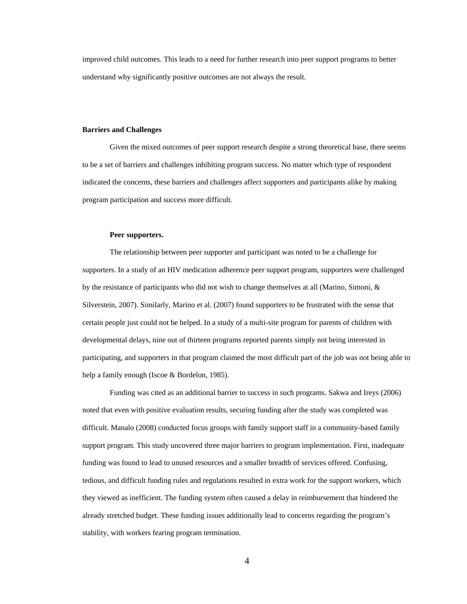improved child outcomes. This leads to a need for further research into peer support programs to better understand why significantly positive outcomes are not always the result.

### **Barriers and Challenges**

Given the mixed outcomes of peer support research despite a strong theoretical base, there seems to be a set of barriers and challenges inhibiting program success. No matter which type of respondent indicated the concerns, these barriers and challenges affect supporters and participants alike by making program participation and success more difficult.

### **Peer supporters.**

The relationship between peer supporter and participant was noted to be a challenge for supporters. In a study of an HIV medication adherence peer support program, supporters were challenged by the resistance of participants who did not wish to change themselves at all (Marino, Simoni, & Silverstein, 2007). Similarly, Marino et al. (2007) found supporters to be frustrated with the sense that certain people just could not be helped. In a study of a multi-site program for parents of children with developmental delays, nine out of thirteen programs reported parents simply not being interested in participating, and supporters in that program claimed the most difficult part of the job was not being able to help a family enough (Iscoe & Bordelon, 1985).

 Funding was cited as an additional barrier to success in such programs. Sakwa and Ireys (2006) noted that even with positive evaluation results, securing funding after the study was completed was difficult. Manalo (2008) conducted focus groups with family support staff in a community-based family support program. This study uncovered three major barriers to program implementation. First, inadequate funding was found to lead to unused resources and a smaller breadth of services offered. Confusing, tedious, and difficult funding rules and regulations resulted in extra work for the support workers, which they viewed as inefficient. The funding system often caused a delay in reimbursement that hindered the already stretched budget. These funding issues additionally lead to concerns regarding the program's stability, with workers fearing program termination.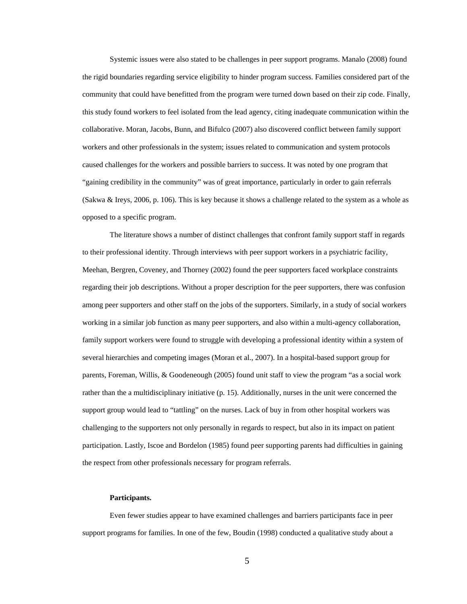Systemic issues were also stated to be challenges in peer support programs. Manalo (2008) found the rigid boundaries regarding service eligibility to hinder program success. Families considered part of the community that could have benefitted from the program were turned down based on their zip code. Finally, this study found workers to feel isolated from the lead agency, citing inadequate communication within the collaborative. Moran, Jacobs, Bunn, and Bifulco (2007) also discovered conflict between family support workers and other professionals in the system; issues related to communication and system protocols caused challenges for the workers and possible barriers to success. It was noted by one program that "gaining credibility in the community" was of great importance, particularly in order to gain referrals (Sakwa & Ireys, 2006, p. 106). This is key because it shows a challenge related to the system as a whole as opposed to a specific program.

The literature shows a number of distinct challenges that confront family support staff in regards to their professional identity. Through interviews with peer support workers in a psychiatric facility, Meehan, Bergren, Coveney, and Thorney (2002) found the peer supporters faced workplace constraints regarding their job descriptions. Without a proper description for the peer supporters, there was confusion among peer supporters and other staff on the jobs of the supporters. Similarly, in a study of social workers working in a similar job function as many peer supporters, and also within a multi-agency collaboration, family support workers were found to struggle with developing a professional identity within a system of several hierarchies and competing images (Moran et al., 2007). In a hospital-based support group for parents, Foreman, Willis, & Goodeneough (2005) found unit staff to view the program "as a social work rather than the a multidisciplinary initiative (p. 15). Additionally, nurses in the unit were concerned the support group would lead to "tattling" on the nurses. Lack of buy in from other hospital workers was challenging to the supporters not only personally in regards to respect, but also in its impact on patient participation. Lastly, Iscoe and Bordelon (1985) found peer supporting parents had difficulties in gaining the respect from other professionals necessary for program referrals.

#### **Participants.**

 Even fewer studies appear to have examined challenges and barriers participants face in peer support programs for families. In one of the few, Boudin (1998) conducted a qualitative study about a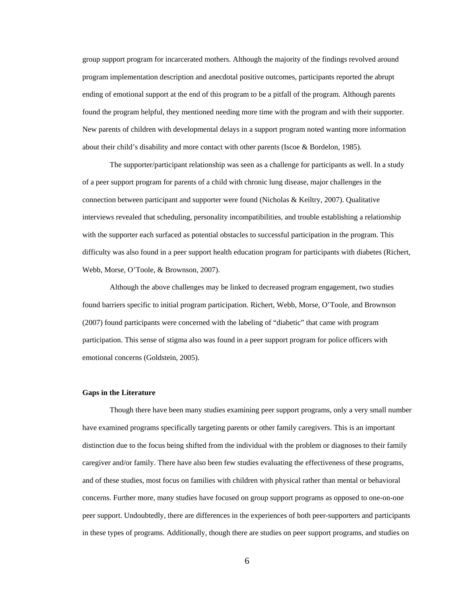group support program for incarcerated mothers. Although the majority of the findings revolved around program implementation description and anecdotal positive outcomes, participants reported the abrupt ending of emotional support at the end of this program to be a pitfall of the program. Although parents found the program helpful, they mentioned needing more time with the program and with their supporter. New parents of children with developmental delays in a support program noted wanting more information about their child's disability and more contact with other parents (Iscoe & Bordelon, 1985).

 The supporter/participant relationship was seen as a challenge for participants as well. In a study of a peer support program for parents of a child with chronic lung disease, major challenges in the connection between participant and supporter were found (Nicholas & Keiltry, 2007). Qualitative interviews revealed that scheduling, personality incompatibilities, and trouble establishing a relationship with the supporter each surfaced as potential obstacles to successful participation in the program. This difficulty was also found in a peer support health education program for participants with diabetes (Richert, Webb, Morse, O'Toole, & Brownson, 2007).

 Although the above challenges may be linked to decreased program engagement, two studies found barriers specific to initial program participation. Richert, Webb, Morse, O'Toole, and Brownson (2007) found participants were concerned with the labeling of "diabetic" that came with program participation. This sense of stigma also was found in a peer support program for police officers with emotional concerns (Goldstein, 2005).

### **Gaps in the Literature**

Though there have been many studies examining peer support programs, only a very small number have examined programs specifically targeting parents or other family caregivers. This is an important distinction due to the focus being shifted from the individual with the problem or diagnoses to their family caregiver and/or family. There have also been few studies evaluating the effectiveness of these programs, and of these studies, most focus on families with children with physical rather than mental or behavioral concerns. Further more, many studies have focused on group support programs as opposed to one-on-one peer support. Undoubtedly, there are differences in the experiences of both peer-supporters and participants in these types of programs. Additionally, though there are studies on peer support programs, and studies on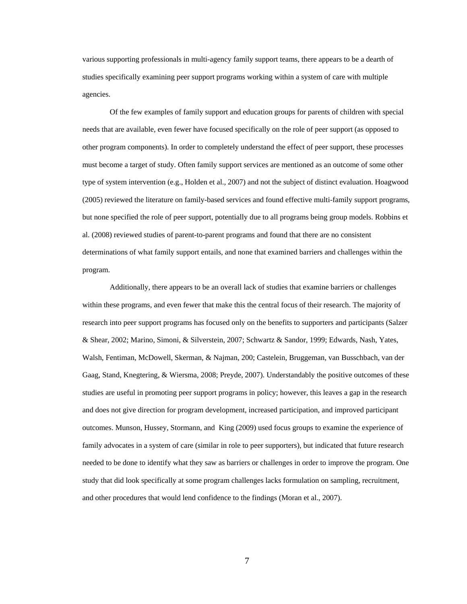various supporting professionals in multi-agency family support teams, there appears to be a dearth of studies specifically examining peer support programs working within a system of care with multiple agencies.

Of the few examples of family support and education groups for parents of children with special needs that are available, even fewer have focused specifically on the role of peer support (as opposed to other program components). In order to completely understand the effect of peer support, these processes must become a target of study. Often family support services are mentioned as an outcome of some other type of system intervention (e.g., Holden et al., 2007) and not the subject of distinct evaluation. Hoagwood (2005) reviewed the literature on family-based services and found effective multi-family support programs, but none specified the role of peer support, potentially due to all programs being group models. Robbins et al. (2008) reviewed studies of parent-to-parent programs and found that there are no consistent determinations of what family support entails, and none that examined barriers and challenges within the program.

Additionally, there appears to be an overall lack of studies that examine barriers or challenges within these programs, and even fewer that make this the central focus of their research. The majority of research into peer support programs has focused only on the benefits to supporters and participants (Salzer & Shear, 2002; Marino, Simoni, & Silverstein, 2007; Schwartz & Sandor, 1999; Edwards, Nash, Yates, Walsh, Fentiman, McDowell, Skerman, & Najman, 200; Castelein, Bruggeman, van Busschbach, van der Gaag, Stand, Knegtering, & Wiersma, 2008; Preyde, 2007). Understandably the positive outcomes of these studies are useful in promoting peer support programs in policy; however, this leaves a gap in the research and does not give direction for program development, increased participation, and improved participant outcomes. Munson, Hussey, Stormann, and King (2009) used focus groups to examine the experience of family advocates in a system of care (similar in role to peer supporters), but indicated that future research needed to be done to identify what they saw as barriers or challenges in order to improve the program. One study that did look specifically at some program challenges lacks formulation on sampling, recruitment, and other procedures that would lend confidence to the findings (Moran et al., 2007).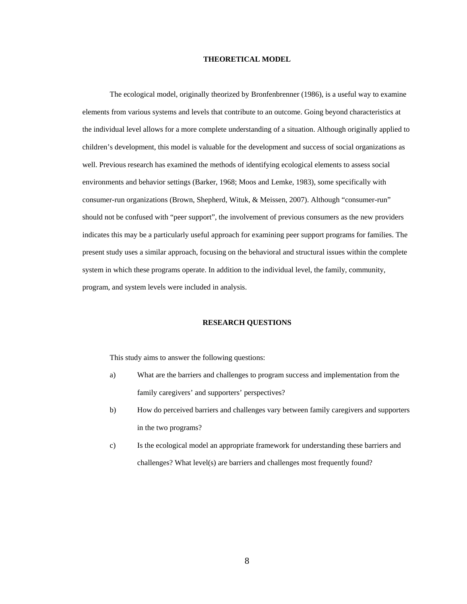### **THEORETICAL MODEL**

The ecological model, originally theorized by Bronfenbrenner (1986), is a useful way to examine elements from various systems and levels that contribute to an outcome. Going beyond characteristics at the individual level allows for a more complete understanding of a situation. Although originally applied to children's development, this model is valuable for the development and success of social organizations as well. Previous research has examined the methods of identifying ecological elements to assess social environments and behavior settings (Barker, 1968; Moos and Lemke, 1983), some specifically with consumer-run organizations (Brown, Shepherd, Wituk, & Meissen, 2007). Although "consumer-run" should not be confused with "peer support", the involvement of previous consumers as the new providers indicates this may be a particularly useful approach for examining peer support programs for families. The present study uses a similar approach, focusing on the behavioral and structural issues within the complete system in which these programs operate. In addition to the individual level, the family, community, program, and system levels were included in analysis.

### **RESEARCH QUESTIONS**

This study aims to answer the following questions:

- a) What are the barriers and challenges to program success and implementation from the family caregivers' and supporters' perspectives?
- b) How do perceived barriers and challenges vary between family caregivers and supporters in the two programs?
- c) Is the ecological model an appropriate framework for understanding these barriers and challenges? What level(s) are barriers and challenges most frequently found?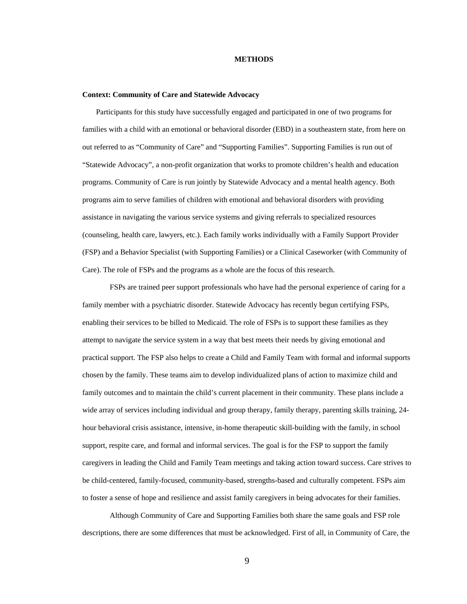### **METHODS**

#### **Context: Community of Care and Statewide Advocacy**

Participants for this study have successfully engaged and participated in one of two programs for families with a child with an emotional or behavioral disorder (EBD) in a southeastern state, from here on out referred to as "Community of Care" and "Supporting Families". Supporting Families is run out of "Statewide Advocacy", a non-profit organization that works to promote children's health and education programs. Community of Care is run jointly by Statewide Advocacy and a mental health agency. Both programs aim to serve families of children with emotional and behavioral disorders with providing assistance in navigating the various service systems and giving referrals to specialized resources (counseling, health care, lawyers, etc.). Each family works individually with a Family Support Provider (FSP) and a Behavior Specialist (with Supporting Families) or a Clinical Caseworker (with Community of Care). The role of FSPs and the programs as a whole are the focus of this research.

 FSPs are trained peer support professionals who have had the personal experience of caring for a family member with a psychiatric disorder. Statewide Advocacy has recently begun certifying FSPs, enabling their services to be billed to Medicaid. The role of FSPs is to support these families as they attempt to navigate the service system in a way that best meets their needs by giving emotional and practical support. The FSP also helps to create a Child and Family Team with formal and informal supports chosen by the family. These teams aim to develop individualized plans of action to maximize child and family outcomes and to maintain the child's current placement in their community. These plans include a wide array of services including individual and group therapy, family therapy, parenting skills training, 24 hour behavioral crisis assistance, intensive, in-home therapeutic skill-building with the family, in school support, respite care, and formal and informal services. The goal is for the FSP to support the family caregivers in leading the Child and Family Team meetings and taking action toward success. Care strives to be child-centered, family-focused, community-based, strengths-based and culturally competent*.* FSPs aim to foster a sense of hope and resilience and assist family caregivers in being advocates for their families.

 Although Community of Care and Supporting Families both share the same goals and FSP role descriptions, there are some differences that must be acknowledged. First of all, in Community of Care, the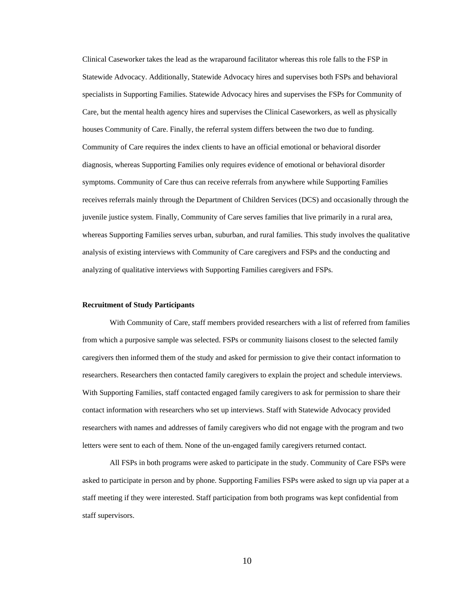Clinical Caseworker takes the lead as the wraparound facilitator whereas this role falls to the FSP in Statewide Advocacy. Additionally, Statewide Advocacy hires and supervises both FSPs and behavioral specialists in Supporting Families. Statewide Advocacy hires and supervises the FSPs for Community of Care, but the mental health agency hires and supervises the Clinical Caseworkers, as well as physically houses Community of Care. Finally, the referral system differs between the two due to funding. Community of Care requires the index clients to have an official emotional or behavioral disorder diagnosis, whereas Supporting Families only requires evidence of emotional or behavioral disorder symptoms. Community of Care thus can receive referrals from anywhere while Supporting Families receives referrals mainly through the Department of Children Services (DCS) and occasionally through the juvenile justice system. Finally, Community of Care serves families that live primarily in a rural area, whereas Supporting Families serves urban, suburban, and rural families. This study involves the qualitative analysis of existing interviews with Community of Care caregivers and FSPs and the conducting and analyzing of qualitative interviews with Supporting Families caregivers and FSPs.

#### **Recruitment of Study Participants**

With Community of Care, staff members provided researchers with a list of referred from families from which a purposive sample was selected. FSPs or community liaisons closest to the selected family caregivers then informed them of the study and asked for permission to give their contact information to researchers. Researchers then contacted family caregivers to explain the project and schedule interviews. With Supporting Families, staff contacted engaged family caregivers to ask for permission to share their contact information with researchers who set up interviews. Staff with Statewide Advocacy provided researchers with names and addresses of family caregivers who did not engage with the program and two letters were sent to each of them. None of the un-engaged family caregivers returned contact.

 All FSPs in both programs were asked to participate in the study. Community of Care FSPs were asked to participate in person and by phone. Supporting Families FSPs were asked to sign up via paper at a staff meeting if they were interested. Staff participation from both programs was kept confidential from staff supervisors.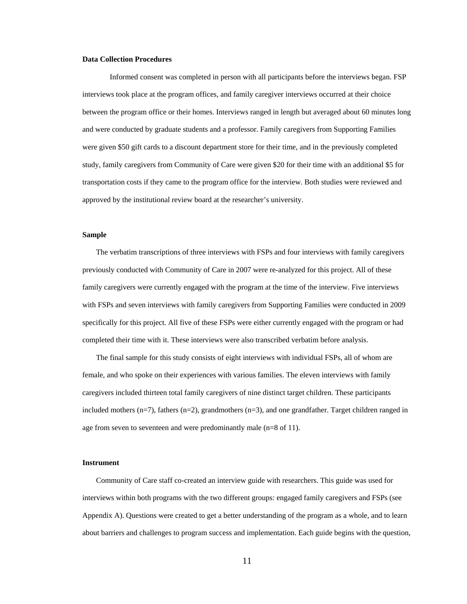### **Data Collection Procedures**

Informed consent was completed in person with all participants before the interviews began. FSP interviews took place at the program offices, and family caregiver interviews occurred at their choice between the program office or their homes. Interviews ranged in length but averaged about 60 minutes long and were conducted by graduate students and a professor. Family caregivers from Supporting Families were given \$50 gift cards to a discount department store for their time, and in the previously completed study, family caregivers from Community of Care were given \$20 for their time with an additional \$5 for transportation costs if they came to the program office for the interview. Both studies were reviewed and approved by the institutional review board at the researcher's university.

### **Sample**

The verbatim transcriptions of three interviews with FSPs and four interviews with family caregivers previously conducted with Community of Care in 2007 were re-analyzed for this project. All of these family caregivers were currently engaged with the program at the time of the interview. Five interviews with FSPs and seven interviews with family caregivers from Supporting Families were conducted in 2009 specifically for this project. All five of these FSPs were either currently engaged with the program or had completed their time with it. These interviews were also transcribed verbatim before analysis.

The final sample for this study consists of eight interviews with individual FSPs, all of whom are female, and who spoke on their experiences with various families. The eleven interviews with family caregivers included thirteen total family caregivers of nine distinct target children. These participants included mothers  $(n=7)$ , fathers  $(n=2)$ , grandmothers  $(n=3)$ , and one grandfather. Target children ranged in age from seven to seventeen and were predominantly male (n=8 of 11).

#### **Instrument**

Community of Care staff co-created an interview guide with researchers. This guide was used for interviews within both programs with the two different groups: engaged family caregivers and FSPs (see Appendix A). Questions were created to get a better understanding of the program as a whole, and to learn about barriers and challenges to program success and implementation. Each guide begins with the question,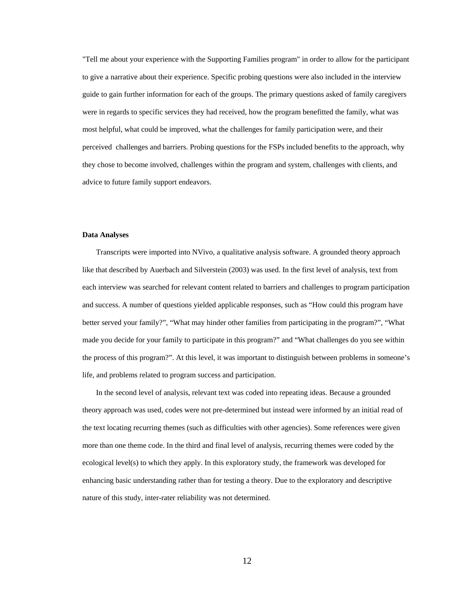"Tell me about your experience with the Supporting Families program" in order to allow for the participant to give a narrative about their experience. Specific probing questions were also included in the interview guide to gain further information for each of the groups. The primary questions asked of family caregivers were in regards to specific services they had received, how the program benefitted the family, what was most helpful, what could be improved, what the challenges for family participation were, and their perceived challenges and barriers. Probing questions for the FSPs included benefits to the approach, why they chose to become involved, challenges within the program and system, challenges with clients, and advice to future family support endeavors.

### **Data Analyses**

Transcripts were imported into NVivo, a qualitative analysis software. A grounded theory approach like that described by Auerbach and Silverstein (2003) was used. In the first level of analysis, text from each interview was searched for relevant content related to barriers and challenges to program participation and success. A number of questions yielded applicable responses, such as "How could this program have better served your family?", "What may hinder other families from participating in the program?", "What made you decide for your family to participate in this program?" and "What challenges do you see within the process of this program?". At this level, it was important to distinguish between problems in someone's life, and problems related to program success and participation.

In the second level of analysis, relevant text was coded into repeating ideas. Because a grounded theory approach was used, codes were not pre-determined but instead were informed by an initial read of the text locating recurring themes (such as difficulties with other agencies). Some references were given more than one theme code. In the third and final level of analysis, recurring themes were coded by the ecological level(s) to which they apply. In this exploratory study, the framework was developed for enhancing basic understanding rather than for testing a theory. Due to the exploratory and descriptive nature of this study, inter-rater reliability was not determined.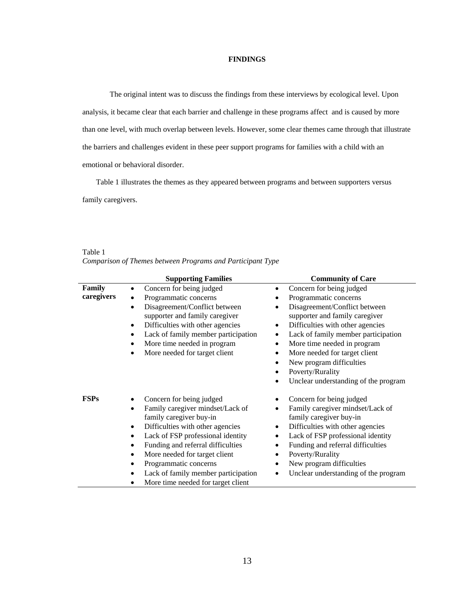### **FINDINGS**

 The original intent was to discuss the findings from these interviews by ecological level. Upon analysis, it became clear that each barrier and challenge in these programs affect and is caused by more than one level, with much overlap between levels. However, some clear themes came through that illustrate the barriers and challenges evident in these peer support programs for families with a child with an emotional or behavioral disorder.

Table 1 illustrates the themes as they appeared between programs and between supporters versus family caregivers.

Table 1 *Comparison of Themes between Programs and Participant Type* 

|                      | <b>Supporting Families</b>                                                                                                                                                                                                                                                                                                                                                                            | <b>Community of Care</b>                                                                                                                                                                                                                                                                                                                                                                                                             |
|----------------------|-------------------------------------------------------------------------------------------------------------------------------------------------------------------------------------------------------------------------------------------------------------------------------------------------------------------------------------------------------------------------------------------------------|--------------------------------------------------------------------------------------------------------------------------------------------------------------------------------------------------------------------------------------------------------------------------------------------------------------------------------------------------------------------------------------------------------------------------------------|
| Family<br>caregivers | Concern for being judged<br>Programmatic concerns<br>Disagreement/Conflict between<br>٠<br>supporter and family caregiver<br>Difficulties with other agencies<br>$\bullet$<br>Lack of family member participation<br>٠<br>More time needed in program<br>$\bullet$<br>More needed for target client                                                                                                   | Concern for being judged<br>Programmatic concerns<br>٠<br>Disagreement/Conflict between<br>٠<br>supporter and family caregiver<br>Difficulties with other agencies<br>٠<br>Lack of family member participation<br>٠<br>More time needed in program<br>٠<br>More needed for target client<br>$\bullet$<br>New program difficulties<br>$\bullet$<br>Poverty/Rurality<br>$\bullet$<br>Unclear understanding of the program<br>$\bullet$ |
| <b>FSPs</b>          | Concern for being judged<br>Family caregiver mindset/Lack of<br>$\bullet$<br>family caregiver buy-in<br>Difficulties with other agencies<br>$\bullet$<br>Lack of FSP professional identity<br>$\bullet$<br>Funding and referral difficulties<br>More needed for target client<br>$\bullet$<br>Programmatic concerns<br>Lack of family member participation<br>More time needed for target client<br>٠ | Concern for being judged<br>Family caregiver mindset/Lack of<br>$\bullet$<br>family caregiver buy-in<br>Difficulties with other agencies<br>٠<br>Lack of FSP professional identity<br>٠<br>Funding and referral difficulties<br>٠<br>Poverty/Rurality<br>٠<br>New program difficulties<br>٠<br>Unclear understanding of the program<br>٠                                                                                             |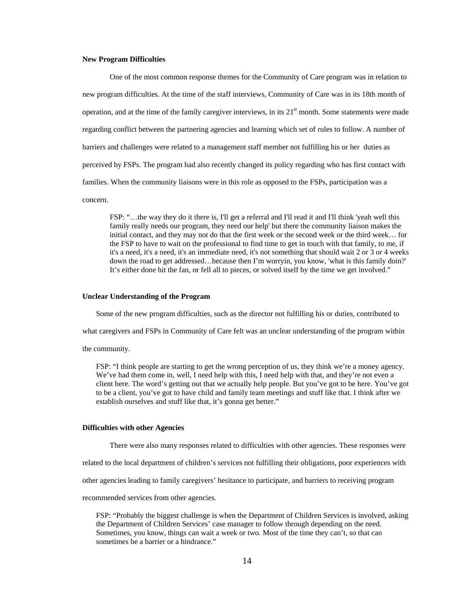### **New Program Difficulties**

 One of the most common response themes for the Community of Care program was in relation to new program difficulties. At the time of the staff interviews, Community of Care was in its 18th month of operation, and at the time of the family caregiver interviews, in its  $21<sup>st</sup>$  month. Some statements were made regarding conflict between the partnering agencies and learning which set of rules to follow. A number of barriers and challenges were related to a management staff member not fulfilling his or her duties as perceived by FSPs. The program had also recently changed its policy regarding who has first contact with families. When the community liaisons were in this role as opposed to the FSPs, participation was a concern.

FSP: "…the way they do it there is, I'll get a referral and I'll read it and I'll think 'yeah well this family really needs our program, they need our help' but there the community liaison makes the initial contact, and they may not do that the first week or the second week or the third week… for the FSP to have to wait on the professional to find time to get in touch with that family, to me, if it's a need, it's a need, it's an immediate need, it's not something that should wait 2 or 3 or 4 weeks down the road to get addressed…because then I'm worryin, you know, 'what is this family doin?' It's either done hit the fan, or fell all to pieces, or solved itself by the time we get involved."

#### **Unclear Understanding of the Program**

Some of the new program difficulties, such as the director not fulfilling his or duties, contributed to

what caregivers and FSPs in Community of Care felt was an unclear understanding of the program within

the community.

FSP: "I think people are starting to get the wrong perception of us, they think we're a money agency. We've had them come in, well, I need help with this, I need help with that, and they're not even a client here. The word's getting out that we actually help people. But you've got to be here. You've got to be a client, you've got to have child and family team meetings and stuff like that. I think after we establish ourselves and stuff like that, it's gonna get better."

### **Difficulties with other Agencies**

There were also many responses related to difficulties with other agencies. These responses were

related to the local department of children's services not fulfilling their obligations, poor experiences with

other agencies leading to family caregivers' hesitance to participate, and barriers to receiving program

recommended services from other agencies.

FSP: "Probably the biggest challenge is when the Department of Children Services is involved, asking the Department of Children Services' case manager to follow through depending on the need. Sometimes, you know, things can wait a week or two. Most of the time they can't, so that can sometimes be a barrier or a hindrance."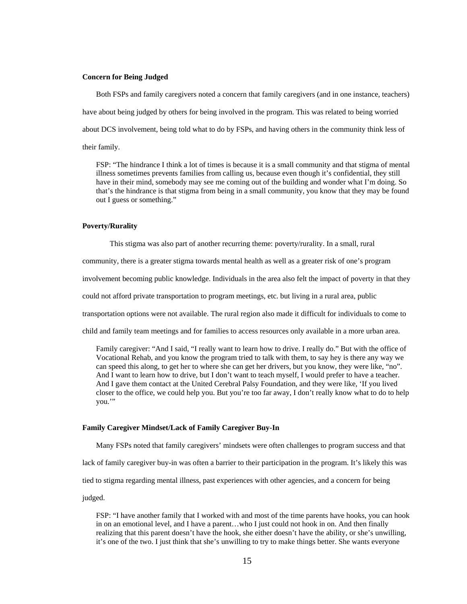### **Concern for Being Judged**

Both FSPs and family caregivers noted a concern that family caregivers (and in one instance, teachers) have about being judged by others for being involved in the program. This was related to being worried about DCS involvement, being told what to do by FSPs, and having others in the community think less of their family.

FSP: "The hindrance I think a lot of times is because it is a small community and that stigma of mental illness sometimes prevents families from calling us, because even though it's confidential, they still have in their mind, somebody may see me coming out of the building and wonder what I'm doing. So that's the hindrance is that stigma from being in a small community, you know that they may be found out I guess or something."

### **Poverty/Rurality**

This stigma was also part of another recurring theme: poverty/rurality. In a small, rural

community, there is a greater stigma towards mental health as well as a greater risk of one's program

involvement becoming public knowledge. Individuals in the area also felt the impact of poverty in that they

could not afford private transportation to program meetings, etc. but living in a rural area, public

transportation options were not available. The rural region also made it difficult for individuals to come to

child and family team meetings and for families to access resources only available in a more urban area.

Family caregiver: "And I said, "I really want to learn how to drive. I really do." But with the office of Vocational Rehab, and you know the program tried to talk with them, to say hey is there any way we can speed this along, to get her to where she can get her drivers, but you know, they were like, "no". And I want to learn how to drive, but I don't want to teach myself, I would prefer to have a teacher. And I gave them contact at the United Cerebral Palsy Foundation, and they were like, 'If you lived closer to the office, we could help you. But you're too far away, I don't really know what to do to help you."

### **Family Caregiver Mindset/Lack of Family Caregiver Buy-In**

Many FSPs noted that family caregivers' mindsets were often challenges to program success and that

lack of family caregiver buy-in was often a barrier to their participation in the program. It's likely this was

tied to stigma regarding mental illness, past experiences with other agencies, and a concern for being

judged.

FSP: "I have another family that I worked with and most of the time parents have hooks, you can hook in on an emotional level, and I have a parent…who I just could not hook in on. And then finally realizing that this parent doesn't have the hook, she either doesn't have the ability, or she's unwilling, it's one of the two. I just think that she's unwilling to try to make things better. She wants everyone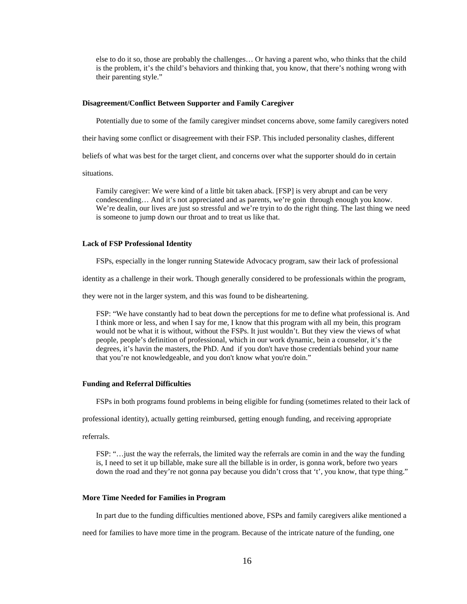else to do it so, those are probably the challenges… Or having a parent who, who thinks that the child is the problem, it's the child's behaviors and thinking that, you know, that there's nothing wrong with their parenting style."

### **Disagreement/Conflict Between Supporter and Family Caregiver**

Potentially due to some of the family caregiver mindset concerns above, some family caregivers noted

their having some conflict or disagreement with their FSP. This included personality clashes, different

beliefs of what was best for the target client, and concerns over what the supporter should do in certain

situations.

Family caregiver: We were kind of a little bit taken aback. [FSP] is very abrupt and can be very condescending… And it's not appreciated and as parents, we're goin through enough you know. We're dealin, our lives are just so stressful and we're tryin to do the right thing. The last thing we need is someone to jump down our throat and to treat us like that.

#### **Lack of FSP Professional Identity**

FSPs, especially in the longer running Statewide Advocacy program, saw their lack of professional

identity as a challenge in their work. Though generally considered to be professionals within the program,

they were not in the larger system, and this was found to be disheartening.

FSP: "We have constantly had to beat down the perceptions for me to define what professional is. And I think more or less, and when I say for me, I know that this program with all my bein, this program would not be what it is without, without the FSPs. It just wouldn't. But they view the views of what people, people's definition of professional, which in our work dynamic, bein a counselor, it's the degrees, it's havin the masters, the PhD. And if you don't have those credentials behind your name that you're not knowledgeable, and you don't know what you're doin."

#### **Funding and Referral Difficulties**

FSPs in both programs found problems in being eligible for funding (sometimes related to their lack of

professional identity), actually getting reimbursed, getting enough funding, and receiving appropriate

referrals.

FSP: "…just the way the referrals, the limited way the referrals are comin in and the way the funding is, I need to set it up billable, make sure all the billable is in order, is gonna work, before two years down the road and they're not gonna pay because you didn't cross that 't', you know, that type thing."

#### **More Time Needed for Families in Program**

In part due to the funding difficulties mentioned above, FSPs and family caregivers alike mentioned a

need for families to have more time in the program. Because of the intricate nature of the funding, one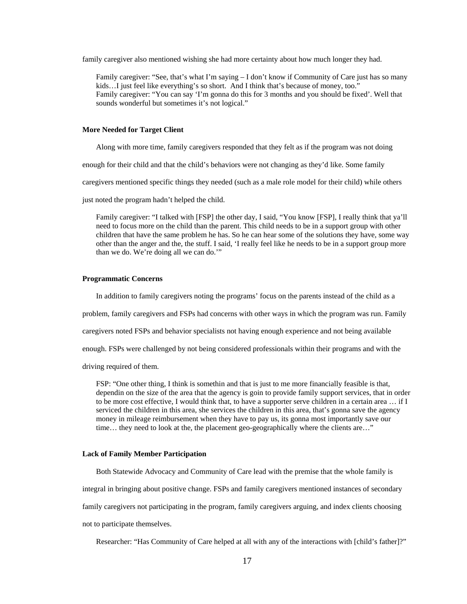family caregiver also mentioned wishing she had more certainty about how much longer they had.

Family caregiver: "See, that's what I'm saying – I don't know if Community of Care just has so many kids...I just feel like everything's so short. And I think that's because of money, too." Family caregiver: "You can say 'I'm gonna do this for 3 months and you should be fixed'. Well that sounds wonderful but sometimes it's not logical."

### **More Needed for Target Client**

Along with more time, family caregivers responded that they felt as if the program was not doing

enough for their child and that the child's behaviors were not changing as they'd like. Some family

caregivers mentioned specific things they needed (such as a male role model for their child) while others

just noted the program hadn't helped the child.

Family caregiver: "I talked with [FSP] the other day, I said, "You know [FSP], I really think that ya'll need to focus more on the child than the parent. This child needs to be in a support group with other children that have the same problem he has. So he can hear some of the solutions they have, some way other than the anger and the, the stuff. I said, 'I really feel like he needs to be in a support group more than we do. We're doing all we can do.'"

### **Programmatic Concerns**

In addition to family caregivers noting the programs' focus on the parents instead of the child as a

problem, family caregivers and FSPs had concerns with other ways in which the program was run. Family

caregivers noted FSPs and behavior specialists not having enough experience and not being available

enough. FSPs were challenged by not being considered professionals within their programs and with the

driving required of them.

FSP: "One other thing, I think is somethin and that is just to me more financially feasible is that, dependin on the size of the area that the agency is goin to provide family support services, that in order to be more cost effective, I would think that, to have a supporter serve children in a certain area … if I serviced the children in this area, she services the children in this area, that's gonna save the agency money in mileage reimbursement when they have to pay us, its gonna most importantly save our time... they need to look at the, the placement geo-geographically where the clients are..."

#### **Lack of Family Member Participation**

Both Statewide Advocacy and Community of Care lead with the premise that the whole family is

integral in bringing about positive change. FSPs and family caregivers mentioned instances of secondary

family caregivers not participating in the program, family caregivers arguing, and index clients choosing

not to participate themselves.

Researcher: "Has Community of Care helped at all with any of the interactions with [child's father]?"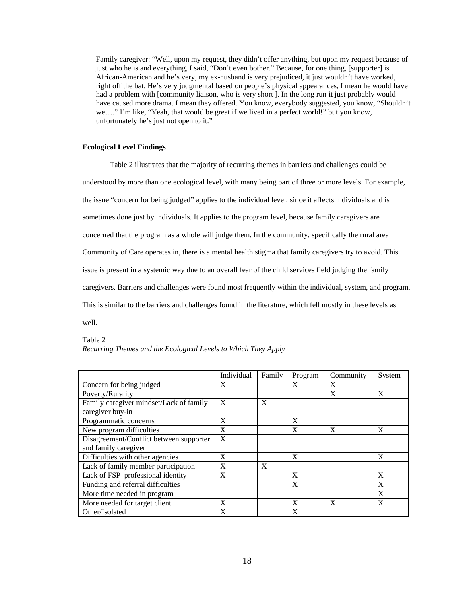Family caregiver: "Well, upon my request, they didn't offer anything, but upon my request because of just who he is and everything, I said, "Don't even bother." Because, for one thing, [supporter] is African-American and he's very, my ex-husband is very prejudiced, it just wouldn't have worked, right off the bat. He's very judgmental based on people's physical appearances, I mean he would have had a problem with [community liaison, who is very short ]. In the long run it just probably would have caused more drama. I mean they offered. You know, everybody suggested, you know, "Shouldn't we…." I'm like, "Yeah, that would be great if we lived in a perfect world!" but you know, unfortunately he's just not open to it."

### **Ecological Level Findings**

 Table 2 illustrates that the majority of recurring themes in barriers and challenges could be understood by more than one ecological level, with many being part of three or more levels. For example, the issue "concern for being judged" applies to the individual level, since it affects individuals and is sometimes done just by individuals. It applies to the program level, because family caregivers are concerned that the program as a whole will judge them. In the community, specifically the rural area Community of Care operates in, there is a mental health stigma that family caregivers try to avoid. This issue is present in a systemic way due to an overall fear of the child services field judging the family caregivers. Barriers and challenges were found most frequently within the individual, system, and program. This is similar to the barriers and challenges found in the literature, which fell mostly in these levels as well.

### Table 2

| Recurring Themes and the Ecological Levels to Which They Apply |  |  |  |
|----------------------------------------------------------------|--|--|--|
|                                                                |  |  |  |

|                                         | Individual   | Family | Program | Community | System |
|-----------------------------------------|--------------|--------|---------|-----------|--------|
| Concern for being judged                | X            |        | X       | X         |        |
| Poverty/Rurality                        |              |        |         | X         | X      |
| Family caregiver mindset/Lack of family | $\mathbf{X}$ | X      |         |           |        |
| caregiver buy-in                        |              |        |         |           |        |
| Programmatic concerns                   | X            |        | X       |           |        |
| New program difficulties                | X            |        | X       | X         | X      |
| Disagreement/Conflict between supporter | X            |        |         |           |        |
| and family caregiver                    |              |        |         |           |        |
| Difficulties with other agencies        | X            |        | X       |           | X      |
| Lack of family member participation     | $\mathbf{x}$ | X      |         |           |        |
| Lack of FSP professional identity       | X            |        | X       |           | X      |
| Funding and referral difficulties       |              |        | X       |           | X      |
| More time needed in program             |              |        |         |           | X      |
| More needed for target client           | X            |        | X       | X         | X      |
| Other/Isolated                          | X            |        | X       |           |        |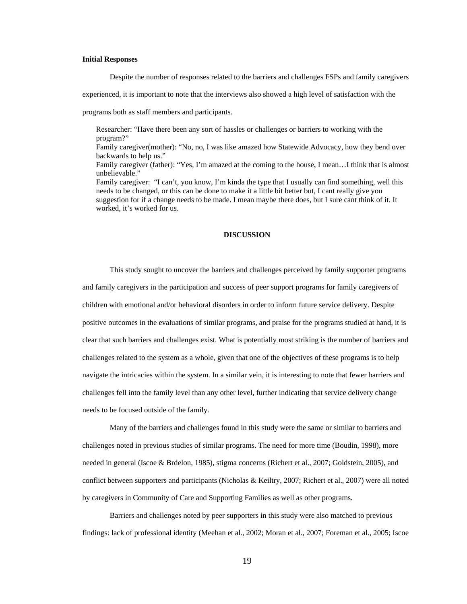### **Initial Responses**

Despite the number of responses related to the barriers and challenges FSPs and family caregivers

experienced, it is important to note that the interviews also showed a high level of satisfaction with the

programs both as staff members and participants.

Researcher: "Have there been any sort of hassles or challenges or barriers to working with the program?"

Family caregiver(mother): "No, no, I was like amazed how Statewide Advocacy, how they bend over backwards to help us."

Family caregiver (father): "Yes, I'm amazed at the coming to the house, I mean…I think that is almost unbelievable."

Family caregiver: "I can't, you know, I'm kinda the type that I usually can find something, well this needs to be changed, or this can be done to make it a little bit better but, I cant really give you suggestion for if a change needs to be made. I mean maybe there does, but I sure cant think of it. It worked, it's worked for us.

### **DISCUSSION**

 This study sought to uncover the barriers and challenges perceived by family supporter programs and family caregivers in the participation and success of peer support programs for family caregivers of children with emotional and/or behavioral disorders in order to inform future service delivery. Despite positive outcomes in the evaluations of similar programs, and praise for the programs studied at hand, it is clear that such barriers and challenges exist. What is potentially most striking is the number of barriers and challenges related to the system as a whole, given that one of the objectives of these programs is to help navigate the intricacies within the system. In a similar vein, it is interesting to note that fewer barriers and challenges fell into the family level than any other level, further indicating that service delivery change needs to be focused outside of the family.

 Many of the barriers and challenges found in this study were the same or similar to barriers and challenges noted in previous studies of similar programs. The need for more time (Boudin, 1998), more needed in general (Iscoe & Brdelon, 1985), stigma concerns (Richert et al., 2007; Goldstein, 2005), and conflict between supporters and participants (Nicholas & Keiltry, 2007; Richert et al., 2007) were all noted by caregivers in Community of Care and Supporting Families as well as other programs.

Barriers and challenges noted by peer supporters in this study were also matched to previous findings: lack of professional identity (Meehan et al., 2002; Moran et al., 2007; Foreman et al., 2005; Iscoe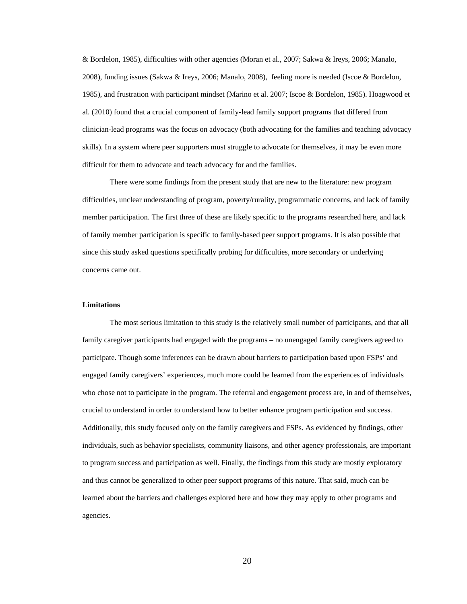& Bordelon, 1985), difficulties with other agencies (Moran et al., 2007; Sakwa & Ireys, 2006; Manalo, 2008), funding issues (Sakwa & Ireys, 2006; Manalo, 2008), feeling more is needed (Iscoe & Bordelon, 1985), and frustration with participant mindset (Marino et al. 2007; Iscoe & Bordelon, 1985). Hoagwood et al. (2010) found that a crucial component of family-lead family support programs that differed from clinician-lead programs was the focus on advocacy (both advocating for the families and teaching advocacy skills). In a system where peer supporters must struggle to advocate for themselves, it may be even more difficult for them to advocate and teach advocacy for and the families.

 There were some findings from the present study that are new to the literature: new program difficulties, unclear understanding of program, poverty/rurality, programmatic concerns, and lack of family member participation. The first three of these are likely specific to the programs researched here, and lack of family member participation is specific to family-based peer support programs. It is also possible that since this study asked questions specifically probing for difficulties, more secondary or underlying concerns came out.

### **Limitations**

The most serious limitation to this study is the relatively small number of participants, and that all family caregiver participants had engaged with the programs – no unengaged family caregivers agreed to participate. Though some inferences can be drawn about barriers to participation based upon FSPs' and engaged family caregivers' experiences, much more could be learned from the experiences of individuals who chose not to participate in the program. The referral and engagement process are, in and of themselves, crucial to understand in order to understand how to better enhance program participation and success. Additionally, this study focused only on the family caregivers and FSPs. As evidenced by findings, other individuals, such as behavior specialists, community liaisons, and other agency professionals, are important to program success and participation as well. Finally, the findings from this study are mostly exploratory and thus cannot be generalized to other peer support programs of this nature. That said, much can be learned about the barriers and challenges explored here and how they may apply to other programs and agencies.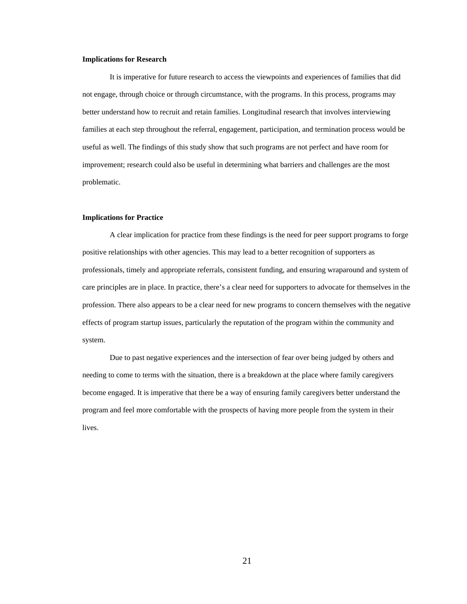### **Implications for Research**

It is imperative for future research to access the viewpoints and experiences of families that did not engage, through choice or through circumstance, with the programs. In this process, programs may better understand how to recruit and retain families. Longitudinal research that involves interviewing families at each step throughout the referral, engagement, participation, and termination process would be useful as well. The findings of this study show that such programs are not perfect and have room for improvement; research could also be useful in determining what barriers and challenges are the most problematic.

### **Implications for Practice**

A clear implication for practice from these findings is the need for peer support programs to forge positive relationships with other agencies. This may lead to a better recognition of supporters as professionals, timely and appropriate referrals, consistent funding, and ensuring wraparound and system of care principles are in place. In practice, there's a clear need for supporters to advocate for themselves in the profession. There also appears to be a clear need for new programs to concern themselves with the negative effects of program startup issues, particularly the reputation of the program within the community and system.

Due to past negative experiences and the intersection of fear over being judged by others and needing to come to terms with the situation, there is a breakdown at the place where family caregivers become engaged. It is imperative that there be a way of ensuring family caregivers better understand the program and feel more comfortable with the prospects of having more people from the system in their lives.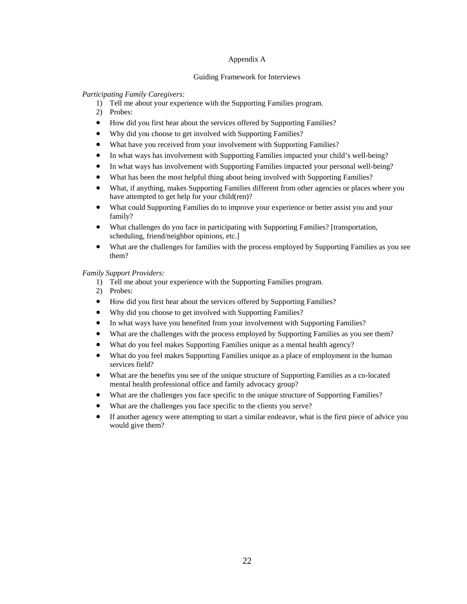### Appendix A

### Guiding Framework for Interviews

### *Participating Family Caregivers:*

- 1) Tell me about your experience with the Supporting Families program.
- 2) Probes:
- How did you first hear about the services offered by Supporting Families?
- Why did you choose to get involved with Supporting Families?
- What have you received from your involvement with Supporting Families?
- In what ways has involvement with Supporting Families impacted your child's well-being?
- In what ways has involvement with Supporting Families impacted your personal well-being?
- What has been the most helpful thing about being involved with Supporting Families?
- What, if anything, makes Supporting Families different from other agencies or places where you have attempted to get help for your child(ren)?
- What could Supporting Families do to improve your experience or better assist you and your family?
- What challenges do you face in participating with Supporting Families? [transportation, scheduling, friend/neighbor opinions, etc.]
- What are the challenges for families with the process employed by Supporting Families as you see them?

### *Family Support Providers:*

- 1) Tell me about your experience with the Supporting Families program.
- 2) Probes:
- How did you first hear about the services offered by Supporting Families?
- Why did you choose to get involved with Supporting Families?
- In what ways have you benefited from your involvement with Supporting Families?
- What are the challenges with the process employed by Supporting Families as you see them?
- What do you feel makes Supporting Families unique as a mental health agency?
- What do you feel makes Supporting Families unique as a place of employment in the human services field?
- What are the benefits you see of the unique structure of Supporting Families as a co-located mental health professional office and family advocacy group?
- What are the challenges you face specific to the unique structure of Supporting Families?
- What are the challenges you face specific to the clients you serve?
- If another agency were attempting to start a similar endeavor, what is the first piece of advice you would give them?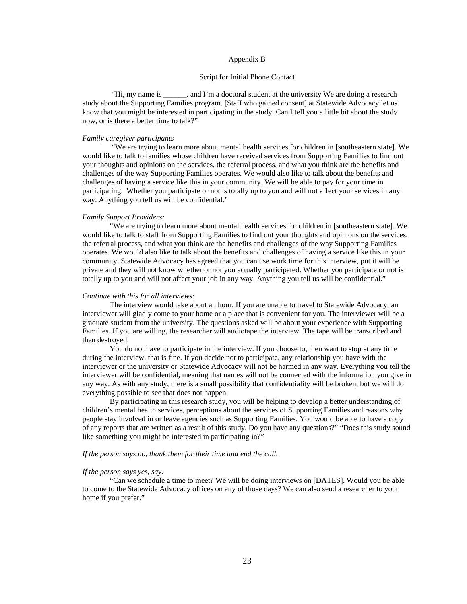### Appendix B

#### Script for Initial Phone Contact

 "Hi, my name is \_\_\_\_\_\_, and I'm a doctoral student at the university We are doing a research study about the Supporting Families program. [Staff who gained consent] at Statewide Advocacy let us know that you might be interested in participating in the study. Can I tell you a little bit about the study now, or is there a better time to talk?"

### *Family caregiver participants*

 "We are trying to learn more about mental health services for children in [southeastern state]. We would like to talk to families whose children have received services from Supporting Families to find out your thoughts and opinions on the services, the referral process, and what you think are the benefits and challenges of the way Supporting Families operates. We would also like to talk about the benefits and challenges of having a service like this in your community. We will be able to pay for your time in participating. Whether you participate or not is totally up to you and will not affect your services in any way. Anything you tell us will be confidential."

#### *Family Support Providers:*

"We are trying to learn more about mental health services for children in [southeastern state]. We would like to talk to staff from Supporting Families to find out your thoughts and opinions on the services, the referral process, and what you think are the benefits and challenges of the way Supporting Families operates. We would also like to talk about the benefits and challenges of having a service like this in your community. Statewide Advocacy has agreed that you can use work time for this interview, put it will be private and they will not know whether or not you actually participated. Whether you participate or not is totally up to you and will not affect your job in any way. Anything you tell us will be confidential."

#### *Continue with this for all interviews:*

The interview would take about an hour. If you are unable to travel to Statewide Advocacy, an interviewer will gladly come to your home or a place that is convenient for you. The interviewer will be a graduate student from the university. The questions asked will be about your experience with Supporting Families. If you are willing, the researcher will audiotape the interview. The tape will be transcribed and then destroyed.

You do not have to participate in the interview. If you choose to, then want to stop at any time during the interview, that is fine. If you decide not to participate, any relationship you have with the interviewer or the university or Statewide Advocacy will not be harmed in any way. Everything you tell the interviewer will be confidential, meaning that names will not be connected with the information you give in any way. As with any study, there is a small possibility that confidentiality will be broken, but we will do everything possible to see that does not happen.

By participating in this research study, you will be helping to develop a better understanding of children's mental health services, perceptions about the services of Supporting Families and reasons why people stay involved in or leave agencies such as Supporting Families. You would be able to have a copy of any reports that are written as a result of this study. Do you have any questions?" "Does this study sound like something you might be interested in participating in?"

#### *If the person says no, thank them for their time and end the call.*

### *If the person says yes, say:*

"Can we schedule a time to meet? We will be doing interviews on [DATES]. Would you be able to come to the Statewide Advocacy offices on any of those days? We can also send a researcher to your home if you prefer."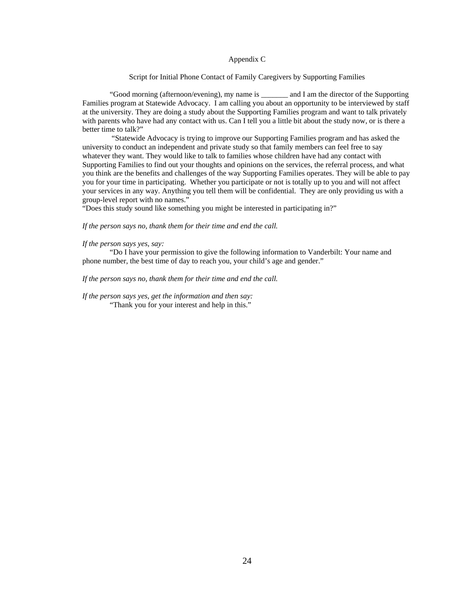### Appendix C

### Script for Initial Phone Contact of Family Caregivers by Supporting Families

"Good morning (afternoon/evening), my name is \_\_\_\_\_\_\_ and I am the director of the Supporting Families program at Statewide Advocacy. I am calling you about an opportunity to be interviewed by staff at the university. They are doing a study about the Supporting Families program and want to talk privately with parents who have had any contact with us. Can I tell you a little bit about the study now, or is there a better time to talk?"

 "Statewide Advocacy is trying to improve our Supporting Families program and has asked the university to conduct an independent and private study so that family members can feel free to say whatever they want. They would like to talk to families whose children have had any contact with Supporting Families to find out your thoughts and opinions on the services, the referral process, and what you think are the benefits and challenges of the way Supporting Families operates. They will be able to pay you for your time in participating. Whether you participate or not is totally up to you and will not affect your services in any way. Anything you tell them will be confidential. They are only providing us with a group-level report with no names."

"Does this study sound like something you might be interested in participating in?"

*If the person says no, thank them for their time and end the call.* 

### *If the person says yes, say:*

"Do I have your permission to give the following information to Vanderbilt: Your name and phone number, the best time of day to reach you, your child's age and gender."

#### *If the person says no, thank them for their time and end the call.*

*If the person says yes, get the information and then say:*  "Thank you for your interest and help in this."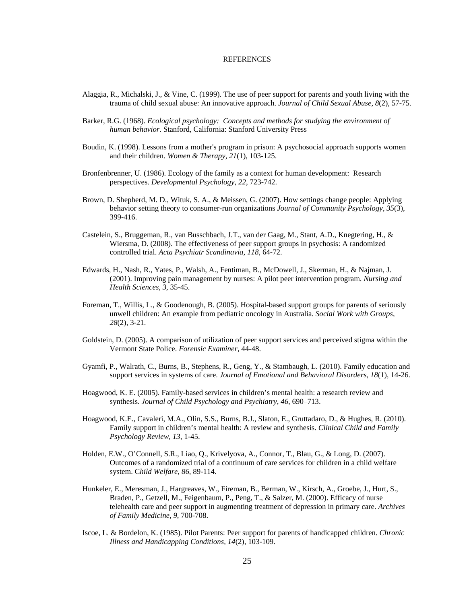### **REFERENCES**

- Alaggia, R., Michalski, J., & Vine, C. (1999). The use of peer support for parents and youth living with the trauma of child sexual abuse: An innovative approach. *Journal of Child Sexual Abuse, 8*(2), 57-75.
- Barker, R.G. (1968). *Ecological psychology: Concepts and methods for studying the environment of human behavior*. Stanford, California: Stanford University Press
- Boudin, K. (1998). Lessons from a mother's program in prison: A psychosocial approach supports women and their children. *Women & Therapy, 21*(1), 103-125.
- Bronfenbrenner, U. (1986). Ecology of the family as a context for human development: Research perspectives. *Developmental Psychology, 22*, 723-742.
- Brown, D. Shepherd, M. D., Wituk, S. A., & Meissen, G. (2007). How settings change people: Applying behavior setting theory to consumer-run organizations *Journal of Community Psychology, 35*(3), 399-416.
- Castelein, S., Bruggeman, R., van Busschbach, J.T., van der Gaag, M., Stant, A.D., Knegtering, H., & Wiersma, D. (2008). The effectiveness of peer support groups in psychosis: A randomized controlled trial. *Acta Psychiatr Scandinavia, 118*, 64-72.
- Edwards, H., Nash, R., Yates, P., Walsh, A., Fentiman, B., McDowell, J., Skerman, H., & Najman, J. (2001). Improving pain management by nurses: A pilot peer intervention program. *Nursing and Health Sciences, 3*, 35-45.
- Foreman, T., Willis, L., & Goodenough, B. (2005). Hospital-based support groups for parents of seriously unwell children: An example from pediatric oncology in Australia. *Social Work with Groups, 28*(2), 3-21.
- Goldstein, D. (2005). A comparison of utilization of peer support services and perceived stigma within the Vermont State Police. *Forensic Examiner,* 44-48.
- Gyamfi, P., Walrath, C., Burns, B., Stephens, R., Geng, Y., & Stambaugh, L. (2010). Family education and support services in systems of care. *Journal of Emotional and Behavioral Disorders, 18*(1), 14-26.
- Hoagwood, K. E. (2005). Family-based services in children's mental health: a research review and synthesis. *Journal of Child Psychology and Psychiatry*, *46*, 690–713.
- Hoagwood, K.E., Cavaleri, M.A., Olin, S.S., Burns, B.J., Slaton, E., Gruttadaro, D., & Hughes, R. (2010). Family support in children's mental health: A review and synthesis. *Clinical Child and Family Psychology Review, 13*, 1-45.
- Holden, E.W., O'Connell, S.R., Liao, Q., Krivelyova, A., Connor, T., Blau, G., & Long, D. (2007). Outcomes of a randomized trial of a continuum of care services for children in a child welfare system. C*hild Welfare*, *86*, 89-114.
- Hunkeler, E., Meresman, J., Hargreaves, W., Fireman, B., Berman, W., Kirsch, A., Groebe, J., Hurt, S., Braden, P., Getzell, M., Feigenbaum, P., Peng, T., & Salzer, M. (2000). Efficacy of nurse telehealth care and peer support in augmenting treatment of depression in primary care. *Archives of Family Medicine, 9*, 700-708.
- Iscoe, L. & Bordelon, K. (1985). Pilot Parents: Peer support for parents of handicapped children. *Chronic Illness and Handicapping Conditions, 14*(2), 103-109.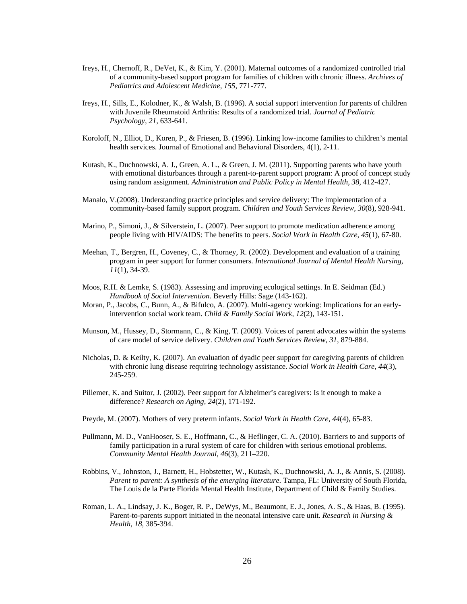- Ireys, H., Chernoff, R., DeVet, K., & Kim, Y. (2001). Maternal outcomes of a randomized controlled trial of a community-based support program for families of children with chronic illness. *Archives of Pediatrics and Adolescent Medicine, 155,* 771-777.
- Ireys, H., Sills, E., Kolodner, K., & Walsh, B. (1996). A social support intervention for parents of children with Juvenile Rheumatoid Arthritis: Results of a randomized trial. *Journal of Pediatric Psychology, 21,* 633-641.
- Koroloff, N., Elliot, D., Koren, P., & Friesen, B. (1996). Linking low-income families to children's mental health services. Journal of Emotional and Behavioral Disorders, 4(1), 2-11.
- Kutash, K., Duchnowski, A. J., Green, A. L., & Green, J. M. (2011). Supporting parents who have youth with emotional disturbances through a parent-to-parent support program: A proof of concept study using random assignment. *Administration and Public Policy in Mental Health, 38*, 412-427.
- Manalo, V.(2008). Understanding practice principles and service delivery: The implementation of a community-based family support program. *Children and Youth Services Review, 30*(8), 928-941.
- Marino, P., Simoni, J., & Silverstein, L. (2007). Peer support to promote medication adherence among people living with HIV/AIDS: The benefits to peers. *Social Work in Health Care, 45*(1), 67-80.
- Meehan, T., Bergren, H., Coveney, C., & Thorney, R. (2002). Development and evaluation of a training program in peer support for former consumers. *International Journal of Mental Health Nursing, 11*(1), 34-39.
- Moos, R.H. & Lemke, S. (1983). Assessing and improving ecological settings. In E. Seidman (Ed.) *Handbook of Social Intervention.* Beverly Hills: Sage (143-162).
- Moran, P., Jacobs, C., Bunn, A., & Bifulco, A. (2007). Multi-agency working: Implications for an earlyintervention social work team. *Child & Family Social Work, 12*(2), 143-151.
- Munson, M., Hussey, D., Stormann, C., & King, T. (2009). Voices of parent advocates within the systems of care model of service delivery. *Children and Youth Services Review, 31*, 879-884.
- Nicholas, D. & Keilty, K. (2007). An evaluation of dyadic peer support for caregiving parents of children with chronic lung disease requiring technology assistance. *Social Work in Health Care, 44*(3), 245-259.
- Pillemer, K. and Suitor, J. (2002). Peer support for Alzheimer's caregivers: Is it enough to make a difference? *Research on Aging, 24*(2), 171-192.
- Preyde, M. (2007). Mothers of very preterm infants. *Social Work in Health Care, 44*(4), 65-83.
- Pullmann, M. D., VanHooser, S. E., Hoffmann, C., & Heflinger, C. A. (2010). Barriers to and supports of family participation in a rural system of care for children with serious emotional problems. *Community Mental Health Journal, 46*(3), 211–220.
- Robbins, V., Johnston, J., Barnett, H., Hobstetter, W., Kutash, K., Duchnowski, A. J., & Annis, S. (2008). *Parent to parent: A synthesis of the emerging literature*. Tampa, FL: University of South Florida, The Louis de la Parte Florida Mental Health Institute, Department of Child & Family Studies.
- Roman, L. A., Lindsay, J. K., Boger, R. P., DeWys, M., Beaumont, E. J., Jones, A. S., & Haas, B. (1995). Parent-to-parents support initiated in the neonatal intensive care unit. *Research in Nursing & Health, 18*, 385-394.